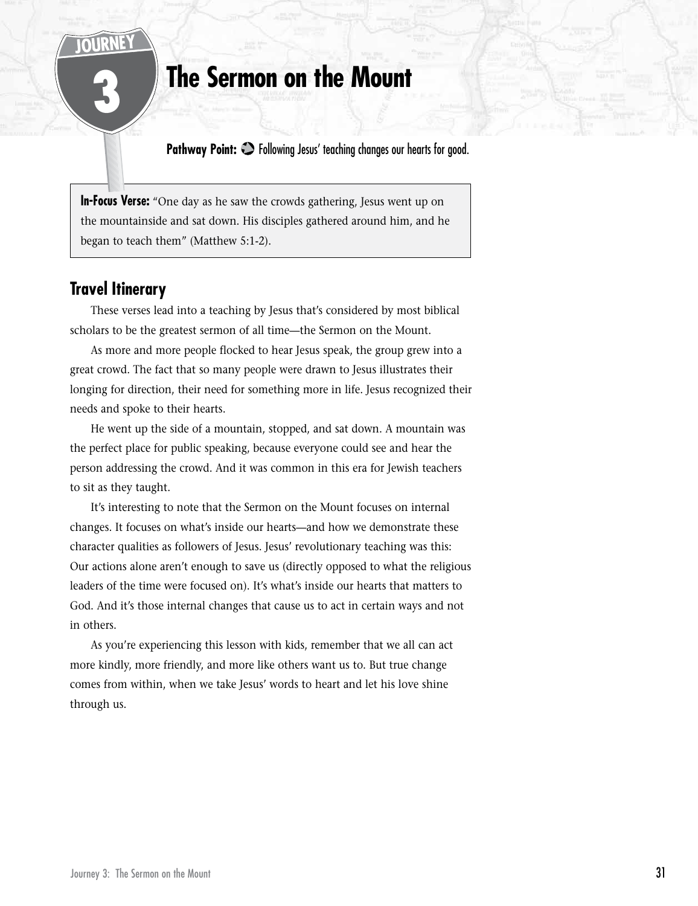# 3 **The Sermon on the Mount**

**Pathway Point:**  $\bullet$  **Following Jesus' teaching changes our hearts for good.** 

**In-Focus Verse:** "One day as he saw the crowds gathering, Jesus went up on the mountainside and sat down. His disciples gathered around him, and he began to teach them" (Matthew 5:1-2).

# **Travel Itinerary**

These verses lead into a teaching by Jesus that's considered by most biblical scholars to be the greatest sermon of all time—the Sermon on the Mount.

As more and more people flocked to hear Jesus speak, the group grew into a great crowd. The fact that so many people were drawn to Jesus illustrates their longing for direction, their need for something more in life. Jesus recognized their needs and spoke to their hearts.

He went up the side of a mountain, stopped, and sat down. A mountain was the perfect place for public speaking, because everyone could see and hear the person addressing the crowd. And it was common in this era for Jewish teachers to sit as they taught.

It's interesting to note that the Sermon on the Mount focuses on internal changes. It focuses on what's inside our hearts—and how we demonstrate these character qualities as followers of Jesus. Jesus' revolutionary teaching was this: Our actions alone aren't enough to save us (directly opposed to what the religious leaders of the time were focused on). It's what's inside our hearts that matters to God. And it's those internal changes that cause us to act in certain ways and not in others.

As you're experiencing this lesson with kids, remember that we all can act more kindly, more friendly, and more like others want us to. But true change comes from within, when we take Jesus' words to heart and let his love shine through us.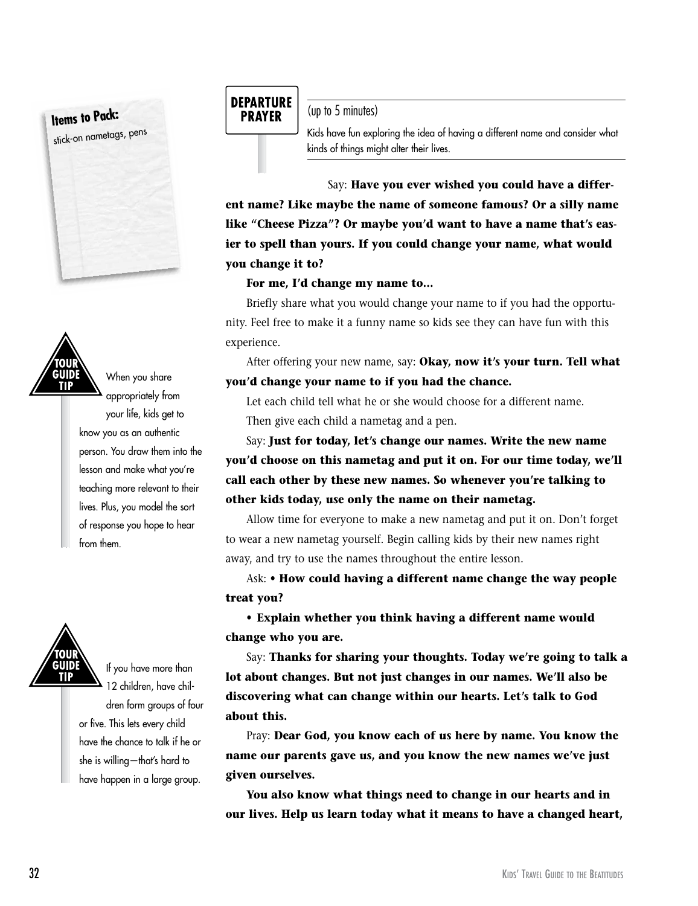**Items to Pack:**  stick-on nametags, pens



When you share appropriately from your life, kids get to know you as an authentic person. You draw them into the lesson and make what you're teaching more relevant to their lives. Plus, you model the sort of response you hope to hear from them.



If you have more than 12 children, have children form groups of four or five. This lets every child have the chance to talk if he or she is willing—that's hard to have happen in a large group.

# **DEPARTURE PRAYER**

(up to 5 minutes)

Kids have fun exploring the idea of having a different name and consider what kinds of things might alter their lives.

Say: **Have you ever wished you could have a different name? Like maybe the name of someone famous? Or a silly name like "Cheese Pizza"? Or maybe you'd want to have a name that's easier to spell than yours. If you could change your name, what would you change it to?** 

## **For me, I'd change my name to…**

Briefly share what you would change your name to if you had the opportunity. Feel free to make it a funny name so kids see they can have fun with this experience.

After offering your new name, say: **Okay, now it's your turn. Tell what you'd change your name to if you had the chance.**

Let each child tell what he or she would choose for a different name. Then give each child a nametag and a pen.

Say: **Just for today, let's change our names. Write the new name you'd choose on this nametag and put it on. For our time today, we'll call each other by these new names. So whenever you're talking to other kids today, use only the name on their nametag.** 

Allow time for everyone to make a new nametag and put it on. Don't forget to wear a new nametag yourself. Begin calling kids by their new names right away, and try to use the names throughout the entire lesson.

Ask: **• How could having a different name change the way people treat you?**

**• Explain whether you think having a different name would change who you are.**

Say: **Thanks for sharing your thoughts. Today we're going to talk a lot about changes. But not just changes in our names. We'll also be discovering what can change within our hearts. Let's talk to God about this.**

Pray: **Dear God, you know each of us here by name. You know the name our parents gave us, and you know the new names we've just given ourselves.**

**You also know what things need to change in our hearts and in our lives. Help us learn today what it means to have a changed heart,**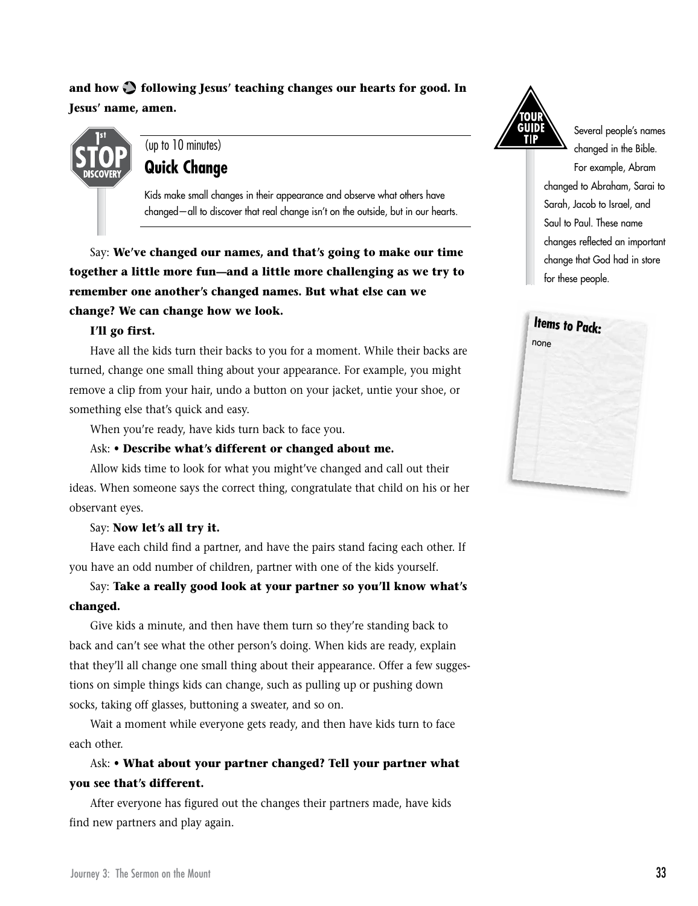# and how  $\bullet$  following Jesus' teaching changes our hearts for good. In **Jesus' name, amen.**



# (up to 10 minutes) **Quick Change**

Kids make small changes in their appearance and observe what others have changed—all to discover that real change isn't on the outside, but in our hearts.

Say: **We've changed our names, and that's going to make our time together a little more fun—and a little more challenging as we try to remember one another's changed names. But what else can we change? We can change how we look.**

### **I'll go first.**

Have all the kids turn their backs to you for a moment. While their backs are turned, change one small thing about your appearance. For example, you might remove a clip from your hair, undo a button on your jacket, untie your shoe, or something else that's quick and easy.

When you're ready, have kids turn back to face you.

### Ask: **• Describe what's different or changed about me.**

Allow kids time to look for what you might've changed and call out their ideas. When someone says the correct thing, congratulate that child on his or her observant eyes.

### Say: **Now let's all try it.**

Have each child find a partner, and have the pairs stand facing each other. If you have an odd number of children, partner with one of the kids yourself.

## Say: **Take a really good look at your partner so you'll know what's changed.**

Give kids a minute, and then have them turn so they're standing back to back and can't see what the other person's doing. When kids are ready, explain that they'll all change one small thing about their appearance. Offer a few suggestions on simple things kids can change, such as pulling up or pushing down socks, taking off glasses, buttoning a sweater, and so on.

Wait a moment while everyone gets ready, and then have kids turn to face each other.

# Ask: **• What about your partner changed? Tell your partner what you see that's different.**

After everyone has figured out the changes their partners made, have kids find new partners and play again.



Several people's names changed in the Bible. For example, Abram changed to Abraham, Sarai to Sarah, Jacob to Israel, and Saul to Paul. These name changes reflected an important change that God had in store for these people.

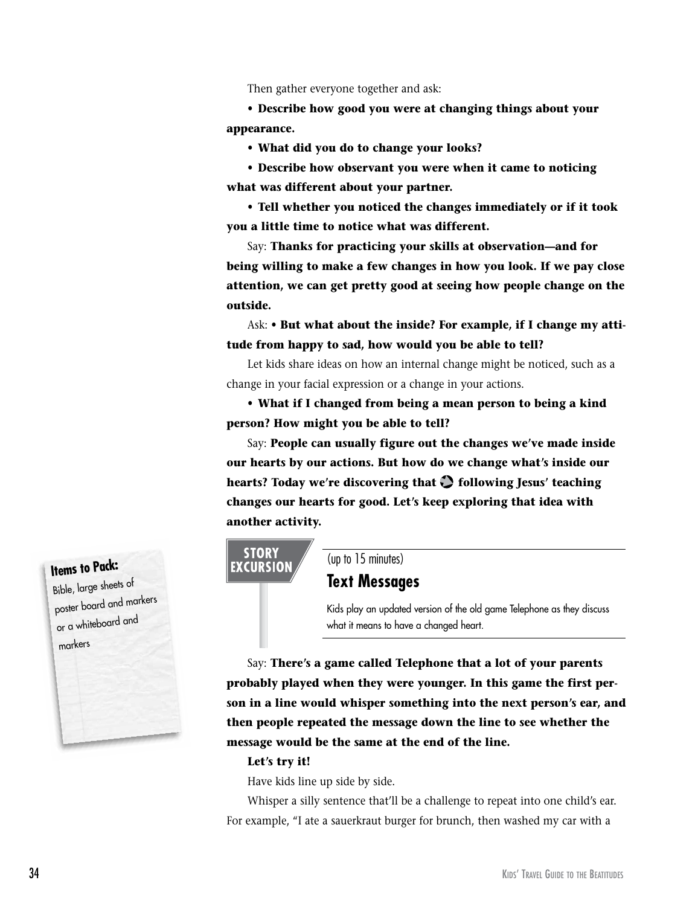Then gather everyone together and ask:

**• Describe how good you were at changing things about your appearance.**

**• What did you do to change your looks?**

**• Describe how observant you were when it came to noticing what was different about your partner.**

**• Tell whether you noticed the changes immediately or if it took you a little time to notice what was different.**

Say: **Thanks for practicing your skills at observation—and for being willing to make a few changes in how you look. If we pay close attention, we can get pretty good at seeing how people change on the outside.**

Ask: **• But what about the inside? For example, if I change my attitude from happy to sad, how would you be able to tell?**

Let kids share ideas on how an internal change might be noticed, such as a change in your facial expression or a change in your actions.

**• What if I changed from being a mean person to being a kind person? How might you be able to tell?**

Say: **People can usually figure out the changes we've made inside our hearts by our actions. But how do we change what's inside our hearts? Today we're discovering that**  $\bullet$  **following Jesus' teaching changes our hearts for good. Let's keep exploring that idea with another activity.**

## **STORY EXCURSION**

(up to 15 minutes)

## **Text Messages**

Kids play an updated version of the old game Telephone as they discuss what it means to have a changed heart.

Say: **There's a game called Telephone that a lot of your parents probably played when they were younger. In this game the first person in a line would whisper something into the next person's ear, and then people repeated the message down the line to see whether the message would be the same at the end of the line.** 

#### **Let's try it!**

Have kids line up side by side.

Whisper a silly sentence that'll be a challenge to repeat into one child's ear. For example, "I ate a sauerkraut burger for brunch, then washed my car with a

# **Items to Pack:**

Bible, large sheets of poster board and markers or a whiteboard and markers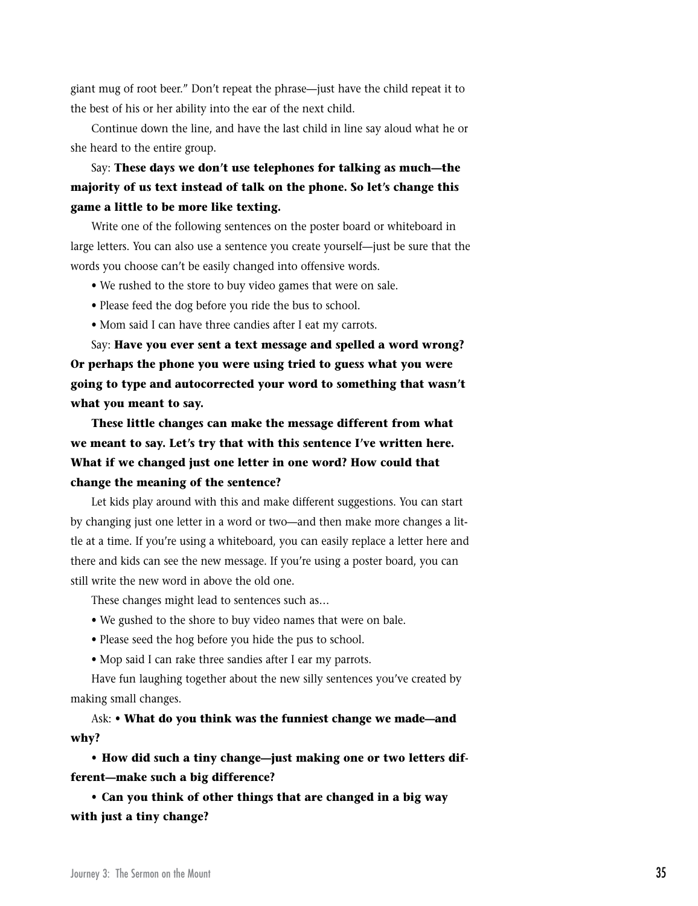giant mug of root beer." Don't repeat the phrase—just have the child repeat it to the best of his or her ability into the ear of the next child.

Continue down the line, and have the last child in line say aloud what he or she heard to the entire group.

Say: **These days we don't use telephones for talking as much—the majority of us text instead of talk on the phone. So let's change this game a little to be more like texting.** 

Write one of the following sentences on the poster board or whiteboard in large letters. You can also use a sentence you create yourself—just be sure that the words you choose can't be easily changed into offensive words.

- We rushed to the store to buy video games that were on sale.
- Please feed the dog before you ride the bus to school.
- Mom said I can have three candies after I eat my carrots.

Say: **Have you ever sent a text message and spelled a word wrong? Or perhaps the phone you were using tried to guess what you were going to type and autocorrected your word to something that wasn't what you meant to say.** 

**These little changes can make the message different from what we meant to say. Let's try that with this sentence I've written here. What if we changed just one letter in one word? How could that change the meaning of the sentence?**

Let kids play around with this and make different suggestions. You can start by changing just one letter in a word or two—and then make more changes a little at a time. If you're using a whiteboard, you can easily replace a letter here and there and kids can see the new message. If you're using a poster board, you can still write the new word in above the old one.

These changes might lead to sentences such as…

- We gushed to the shore to buy video names that were on bale.
- Please seed the hog before you hide the pus to school.
- Mop said I can rake three sandies after I ear my parrots.

Have fun laughing together about the new silly sentences you've created by making small changes.

Ask: **• What do you think was the funniest change we made—and why?**

**• How did such a tiny change—just making one or two letters different—make such a big difference?**

**• Can you think of other things that are changed in a big way with just a tiny change?**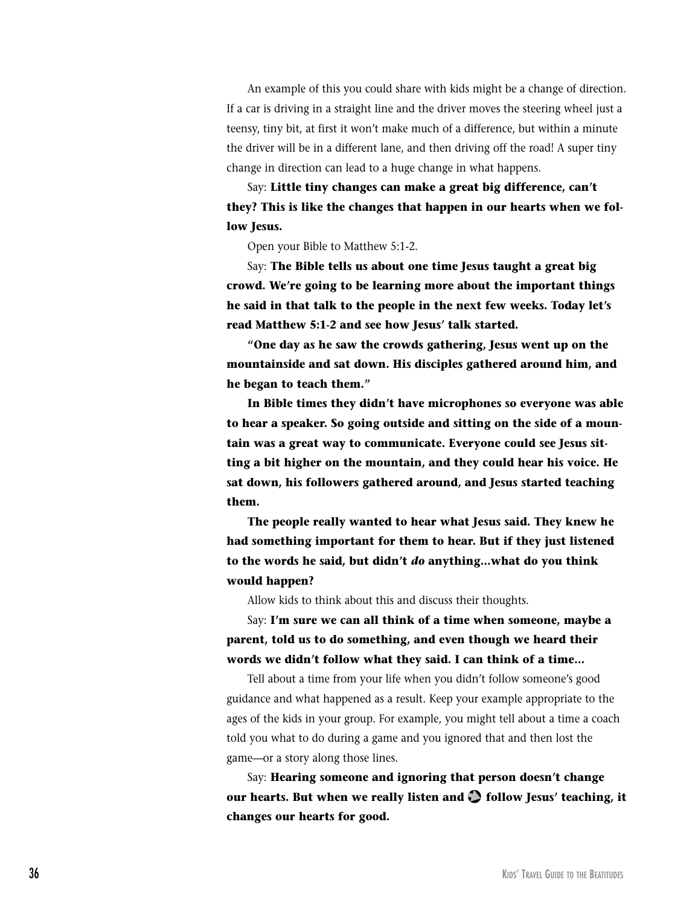An example of this you could share with kids might be a change of direction. If a car is driving in a straight line and the driver moves the steering wheel just a teensy, tiny bit, at first it won't make much of a difference, but within a minute the driver will be in a different lane, and then driving off the road! A super tiny change in direction can lead to a huge change in what happens.

Say: **Little tiny changes can make a great big difference, can't they? This is like the changes that happen in our hearts when we follow Jesus.** 

Open your Bible to Matthew 5:1-2.

Say: **The Bible tells us about one time Jesus taught a great big crowd. We're going to be learning more about the important things he said in that talk to the people in the next few weeks. Today let's read Matthew 5:1-2 and see how Jesus' talk started.**

**"One day as he saw the crowds gathering, Jesus went up on the mountainside and sat down. His disciples gathered around him, and he began to teach them."** 

**In Bible times they didn't have microphones so everyone was able to hear a speaker. So going outside and sitting on the side of a mountain was a great way to communicate. Everyone could see Jesus sitting a bit higher on the mountain, and they could hear his voice. He sat down, his followers gathered around, and Jesus started teaching them.**

**The people really wanted to hear what Jesus said. They knew he had something important for them to hear. But if they just listened to the words he said, but didn't** *do* **anything…what do you think would happen?**

Allow kids to think about this and discuss their thoughts.

Say: **I'm sure we can all think of a time when someone, maybe a parent, told us to do something, and even though we heard their words we didn't follow what they said. I can think of a time…**

Tell about a time from your life when you didn't follow someone's good guidance and what happened as a result. Keep your example appropriate to the ages of the kids in your group. For example, you might tell about a time a coach told you what to do during a game and you ignored that and then lost the game—or a story along those lines.

Say: **Hearing someone and ignoring that person doesn't change**  our hearts. But when we really listen and  $\bullet$  follow Jesus' teaching, it **changes our hearts for good.**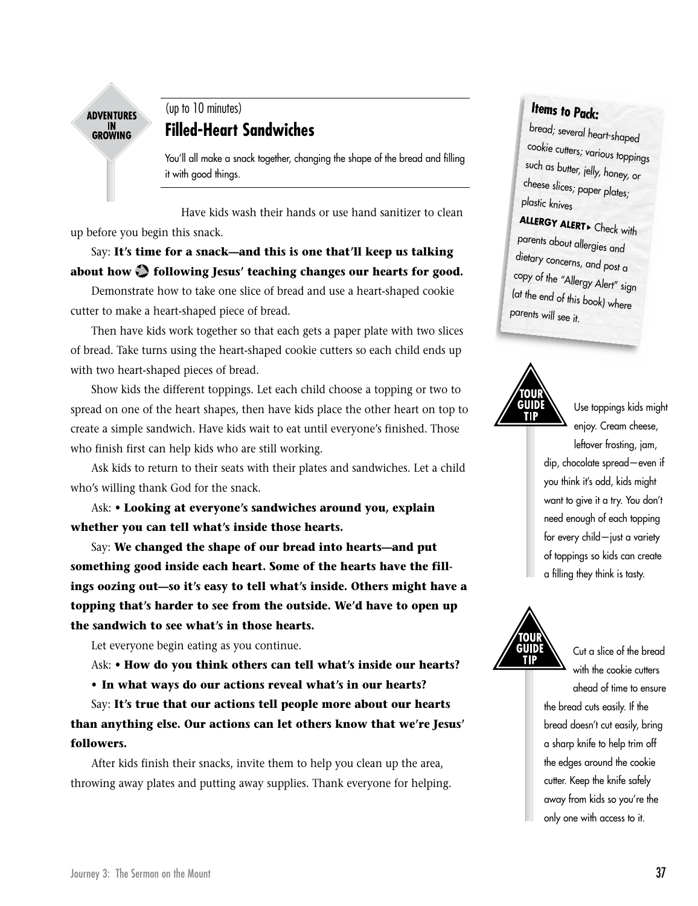

# (up to 10 minutes) **Filled-Heart Sandwiches**

You'll all make a snack together, changing the shape of the bread and filling it with good things.

Have kids wash their hands or use hand sanitizer to clean up before you begin this snack.

Say: **It's time for a snack—and this is one that'll keep us talking about how following Jesus' teaching changes our hearts for good.**

Demonstrate how to take one slice of bread and use a heart-shaped cookie cutter to make a heart-shaped piece of bread.

Then have kids work together so that each gets a paper plate with two slices of bread. Take turns using the heart-shaped cookie cutters so each child ends up with two heart-shaped pieces of bread.

Show kids the different toppings. Let each child choose a topping or two to spread on one of the heart shapes, then have kids place the other heart on top to create a simple sandwich. Have kids wait to eat until everyone's finished. Those who finish first can help kids who are still working.

Ask kids to return to their seats with their plates and sandwiches. Let a child who's willing thank God for the snack.

Ask: **• Looking at everyone's sandwiches around you, explain whether you can tell what's inside those hearts.**

Say: **We changed the shape of our bread into hearts—and put something good inside each heart. Some of the hearts have the fillings oozing out—so it's easy to tell what's inside. Others might have a topping that's harder to see from the outside. We'd have to open up the sandwich to see what's in those hearts.**

Let everyone begin eating as you continue.

Ask: **• How do you think others can tell what's inside our hearts?** 

**• In what ways do our actions reveal what's in our hearts?**

Say: **It's true that our actions tell people more about our hearts than anything else. Our actions can let others know that we're Jesus' followers.** 

After kids finish their snacks, invite them to help you clean up the area, throwing away plates and putting away supplies. Thank everyone for helping.

# **Items to Pack:**

bread; several heart-shaped cookie cutters; various toppings such as butter, jelly, honey, or cheese slices; paper plates; <sup>p</sup>lastic knives

**ALLERGY ALERT** Check with parents about allergies and dietary concerns, and post a copy of the "Allergy Alert" sign (at the end of this book) where parents will see it.



Use toppings kids might enjoy. Cream cheese, leftover frosting, jam, dip, chocolate spread—even if you think it's odd, kids might want to give it a try. You don't need enough of each topping for every child—just a variety of toppings so kids can create a filling they think is tasty.



Cut a slice of the bread with the cookie cutters ahead of time to ensure the bread cuts easily. If the bread doesn't cut easily, bring a sharp knife to help trim off the edges around the cookie cutter. Keep the knife safely away from kids so you're the only one with access to it.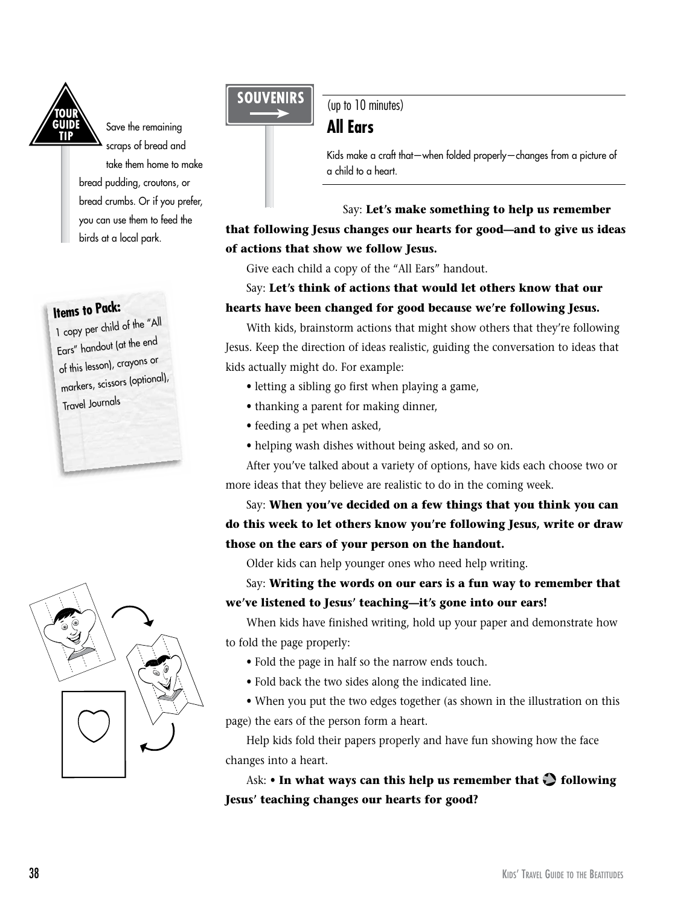

Save the remaining scraps of bread and take them home to make bread pudding, croutons, or bread crumbs. Or if you prefer, you can use them to feed the birds at a local park.

# **Items to Pack:**

1 copy per child of the "All Ears" handout (at the end of this lesson), crayons or markers, scissors (optional), Travel Journals



# **SOUVENIRS**

(up to 10 minutes) **All Ears**

Kids make a craft that—when folded properly—changes from a picture of a child to a heart.

# Say: **Let's make something to help us remember that following Jesus changes our hearts for good—and to give us ideas of actions that show we follow Jesus.**

Give each child a copy of the "All Ears" handout.

## Say: **Let's think of actions that would let others know that our hearts have been changed for good because we're following Jesus.**

With kids, brainstorm actions that might show others that they're following Jesus. Keep the direction of ideas realistic, guiding the conversation to ideas that kids actually might do. For example:

- letting a sibling go first when playing a game,
- thanking a parent for making dinner,
- feeding a pet when asked,
- helping wash dishes without being asked, and so on.

After you've talked about a variety of options, have kids each choose two or more ideas that they believe are realistic to do in the coming week.

Say: **When you've decided on a few things that you think you can do this week to let others know you're following Jesus, write or draw those on the ears of your person on the handout.**

Older kids can help younger ones who need help writing.

Say: **Writing the words on our ears is a fun way to remember that we've listened to Jesus' teaching—it's gone into our ears!** 

When kids have finished writing, hold up your paper and demonstrate how to fold the page properly:

- Fold the page in half so the narrow ends touch.
- Fold back the two sides along the indicated line.

• When you put the two edges together (as shown in the illustration on this page) the ears of the person form a heart.

Help kids fold their papers properly and have fun showing how the face changes into a heart.

Ask: **• In what ways can this help us remember that following Jesus' teaching changes our hearts for good?**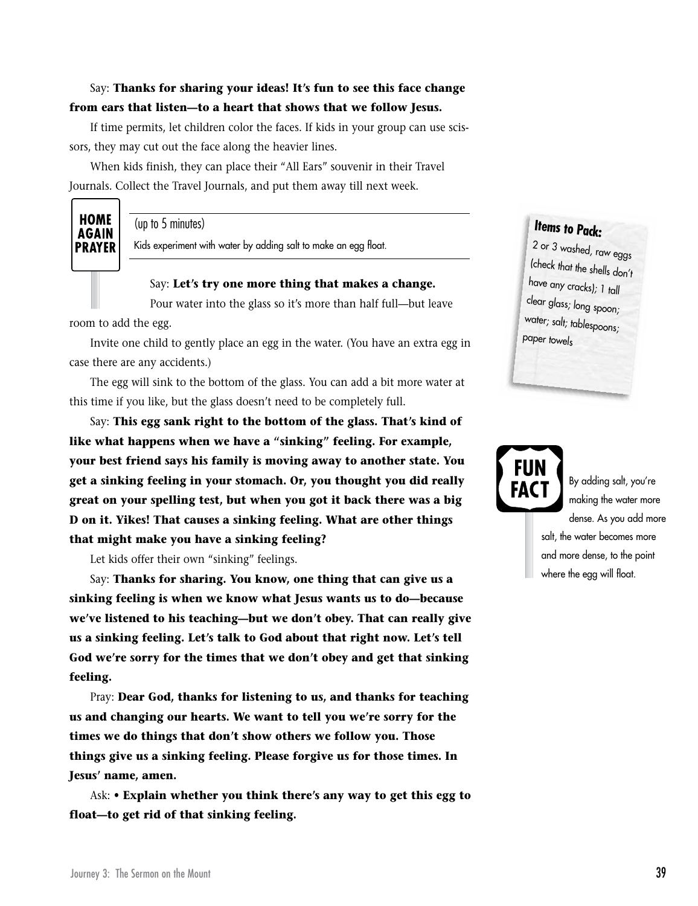## Say: **Thanks for sharing your ideas! It's fun to see this face change from ears that listen—to a heart that shows that we follow Jesus.**

If time permits, let children color the faces. If kids in your group can use scissors, they may cut out the face along the heavier lines.

When kids finish, they can place their "All Ears" souvenir in their Travel Journals. Collect the Travel Journals, and put them away till next week.

# **HOME AGAIN PRAYER**

(up to 5 minutes)

Kids experiment with water by adding salt to make an egg float.

#### Say: **Let's try one more thing that makes a change.**

Pour water into the glass so it's more than half full—but leave

room to add the egg.

Invite one child to gently place an egg in the water. (You have an extra egg in case there are any accidents.)

The egg will sink to the bottom of the glass. You can add a bit more water at this time if you like, but the glass doesn't need to be completely full.

Say: **This egg sank right to the bottom of the glass. That's kind of like what happens when we have a "sinking" feeling. For example, your best friend says his family is moving away to another state. You get a sinking feeling in your stomach. Or, you thought you did really great on your spelling test, but when you got it back there was a big D on it. Yikes! That causes a sinking feeling. What are other things that might make you have a sinking feeling?**

Let kids offer their own "sinking" feelings.

Say: **Thanks for sharing. You know, one thing that can give us a sinking feeling is when we know what Jesus wants us to do—because we've listened to his teaching—but we don't obey. That can really give us a sinking feeling. Let's talk to God about that right now. Let's tell God we're sorry for the times that we don't obey and get that sinking feeling.**

Pray: **Dear God, thanks for listening to us, and thanks for teaching us and changing our hearts. We want to tell you we're sorry for the times we do things that don't show others we follow you. Those things give us a sinking feeling. Please forgive us for those times. In Jesus' name, amen.**

Ask: **• Explain whether you think there's any way to get this egg to float—to get rid of that sinking feeling.** 

# **Items to Pack:**

2 or 3 washed, raw eggs (check that the shells don't have any cracks); 1 tall clear glass; long spoon; water; salt; tablespoons; paper towels



By adding salt, you're making the water more dense. As you add more salt, the water becomes more and more dense, to the point where the egg will float.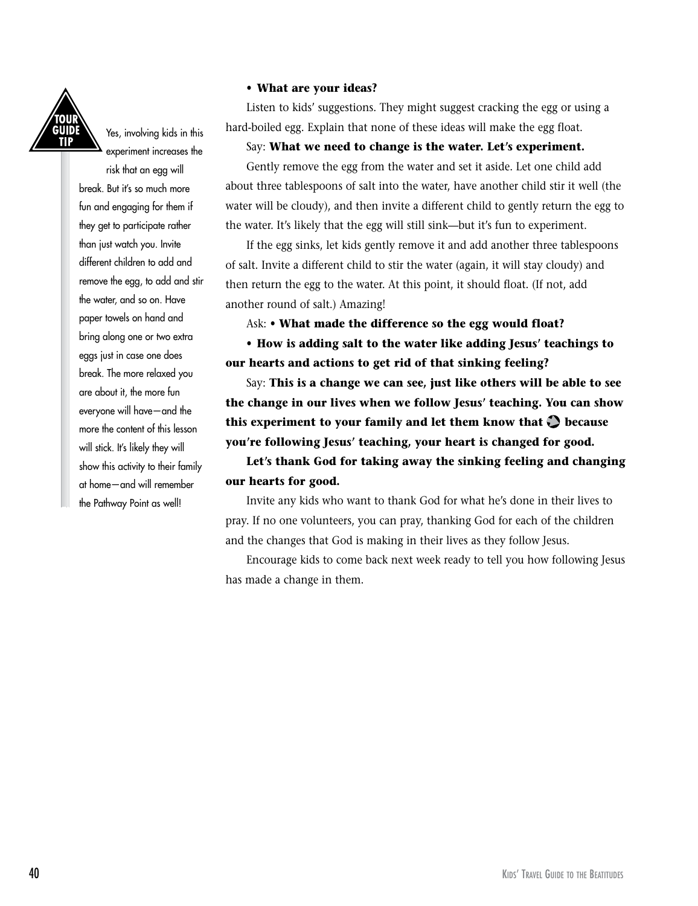

Yes, involving kids in this experiment increases the

risk that an egg will break. But it's so much more fun and engaging for them if they get to participate rather than just watch you. Invite different children to add and remove the egg, to add and stir the water, and so on. Have paper towels on hand and bring along one or two extra eggs just in case one does break. The more relaxed you are about it, the more fun everyone will have—and the more the content of this lesson will stick. It's likely they will show this activity to their family at home—and will remember the Pathway Point as well!

#### **• What are your ideas?**

Listen to kids' suggestions. They might suggest cracking the egg or using a hard-boiled egg. Explain that none of these ideas will make the egg float.

#### Say: **What we need to change is the water. Let's experiment.**

Gently remove the egg from the water and set it aside. Let one child add about three tablespoons of salt into the water, have another child stir it well (the water will be cloudy), and then invite a different child to gently return the egg to the water. It's likely that the egg will still sink—but it's fun to experiment.

If the egg sinks, let kids gently remove it and add another three tablespoons of salt. Invite a different child to stir the water (again, it will stay cloudy) and then return the egg to the water. At this point, it should float. (If not, add another round of salt.) Amazing!

Ask: **• What made the difference so the egg would float?**

**• How is adding salt to the water like adding Jesus' teachings to our hearts and actions to get rid of that sinking feeling?**

Say: **This is a change we can see, just like others will be able to see the change in our lives when we follow Jesus' teaching. You can show**  this experiment to your family and let them know that  $\bigcirc$  because **you're following Jesus' teaching, your heart is changed for good.** 

**Let's thank God for taking away the sinking feeling and changing our hearts for good.**

Invite any kids who want to thank God for what he's done in their lives to pray. If no one volunteers, you can pray, thanking God for each of the children and the changes that God is making in their lives as they follow Jesus.

Encourage kids to come back next week ready to tell you how following Jesus has made a change in them.